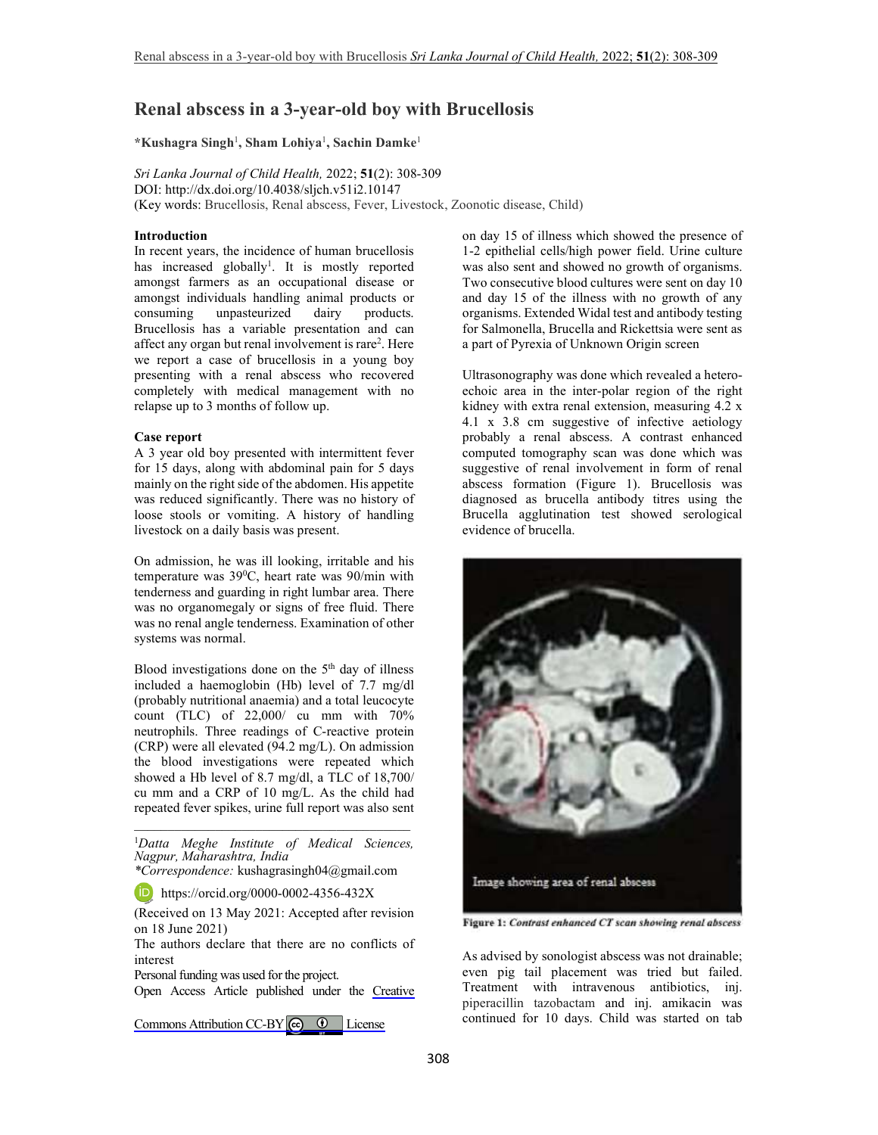# **Renal abscess in a 3-year-old boy with Brucellosis**

**\*Kushagra Singh**<sup>1</sup> **, Sham Lohiya**<sup>1</sup> **, Sachin Damke**<sup>1</sup>

*Sri Lanka Journal of Child Health,* 2022; **51**(2): 308-309 DOI: http://dx.doi.org/10.4038/sljch.v51i2.10147 (Key words: Brucellosis, Renal abscess, Fever, Livestock, Zoonotic disease, Child)

## **Introduction**

In recent years, the incidence of human brucellosis has increased globally<sup>1</sup>. It is mostly reported amongst farmers as an occupational disease or amongst individuals handling animal products or consuming unpasteurized dairy products. Brucellosis has a variable presentation and can affect any organ but renal involvement is rare<sup>2</sup>. Here we report a case of brucellosis in a young boy presenting with a renal abscess who recovered completely with medical management with no relapse up to 3 months of follow up.

## **Case report**

A 3 year old boy presented with intermittent fever for 15 days, along with abdominal pain for 5 days mainly on the right side of the abdomen. His appetite was reduced significantly. There was no history of loose stools or vomiting. A history of handling livestock on a daily basis was present.

On admission, he was ill looking, irritable and his temperature was 39<sup>0</sup>C, heart rate was 90/min with tenderness and guarding in right lumbar area. There was no organomegaly or signs of free fluid. There was no renal angle tenderness. Examination of other systems was normal.

Blood investigations done on the  $5<sup>th</sup>$  day of illness included a haemoglobin (Hb) level of 7.7 mg/dl (probably nutritional anaemia) and a total leucocyte count (TLC) of 22,000/ cu mm with 70% neutrophils. Three readings of C-reactive protein (CRP) were all elevated (94.2 mg/L). On admission the blood investigations were repeated which showed a Hb level of 8.7 mg/dl, a TLC of 18,700/ cu mm and a CRP of 10 mg/L. As the child had repeated fever spikes, urine full report was also sent

\_\_\_\_\_\_\_\_\_\_\_\_\_\_\_\_\_\_\_\_\_\_\_\_\_\_\_\_\_\_\_\_\_\_\_\_\_\_\_\_\_ <sup>1</sup>*Datta Meghe Institute of Medical Sciences, Nagpur, Maharashtra, India* 

*\*Correspondence:* kushagrasingh04@gmail.com

https://orcid.org/0000-0002-4356-432X

(Received on 13 May 2021: Accepted after revision on 18 June 2021)

The authors declare that there are no conflicts of interest

Personal funding was used for the project.

Open Access Article published under the [Creative](https://creativecommons.org/licenses/by/4.0/)

Commons Attribution CC-BY  $\bigcirc$   $\bigcirc$  License

on day 15 of illness which showed the presence of 1-2 epithelial cells/high power field. Urine culture was also sent and showed no growth of organisms. Two consecutive blood cultures were sent on day 10 and day 15 of the illness with no growth of any organisms. Extended Widal test and antibody testing for Salmonella, Brucella and Rickettsia were sent as a part of Pyrexia of Unknown Origin screen

Ultrasonography was done which revealed a heteroechoic area in the inter-polar region of the right kidney with extra renal extension, measuring 4.2 x 4.1 x 3.8 cm suggestive of infective aetiology probably a renal abscess. A contrast enhanced computed tomography scan was done which was suggestive of renal involvement in form of renal abscess formation (Figure 1). Brucellosis was diagnosed as brucella antibody titres using the Brucella agglutination test showed serological evidence of brucella.



Figure 1: Contrast enhanced CT scan showing renal abscess

As advised by sonologist abscess was not drainable; even pig tail placement was tried but failed. Treatment with intravenous antibiotics, inj. piperacillin tazobactam and inj. amikacin was continued for 10 days. Child was started on tab